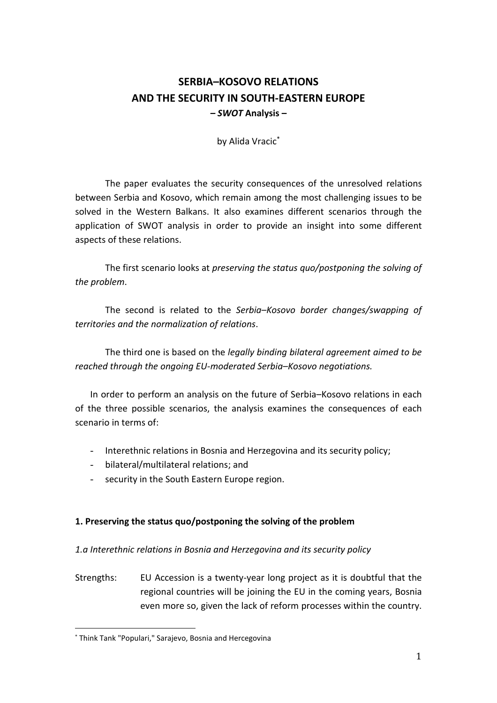# **SERBIA–KOSOVO RELATIONS AND THE SECURITY IN SOUTH-EASTERN EUROPE** *– SWOT* **Analysis –**

by Alida Vracic\*

The paper evaluates the security consequences of the unresolved relations between Serbia and Kosovo, which remain among the most challenging issues to be solved in the Western Balkans. It also examines different scenarios through the application of SWOT analysis in order to provide an insight into some different aspects of these relations.

The first scenario looks at *preserving the status quo/postponing the solving of the problem*.

The second is related to the *Serbia–Kosovo border changes/swapping of territories and the normalization of relations*.

The third one is based on the *legally binding bilateral agreement aimed to be reached through the ongoing EU-moderated Serbia–Kosovo negotiations.*

In order to perform an analysis on the future of Serbia–Kosovo relations in each of the three possible scenarios, the analysis examines the consequences of each scenario in terms of:

- Interethnic relations in Bosnia and Herzegovina and its security policy;
- bilateral/multilateral relations; and
- security in the South Eastern Europe region.

#### **1. Preserving the status quo/postponing the solving of the problem**

#### *1.a Interethnic relations in Bosnia and Herzegovina and its security policy*

Strengths: EU Accession is a twenty-year long project as it is doubtful that the regional countries will be joining the EU in the coming years, Bosnia even more so, given the lack of reform processes within the country.

<sup>\*</sup> Think Tank "Populari," Sarajevo, Bosnia and Hercegovina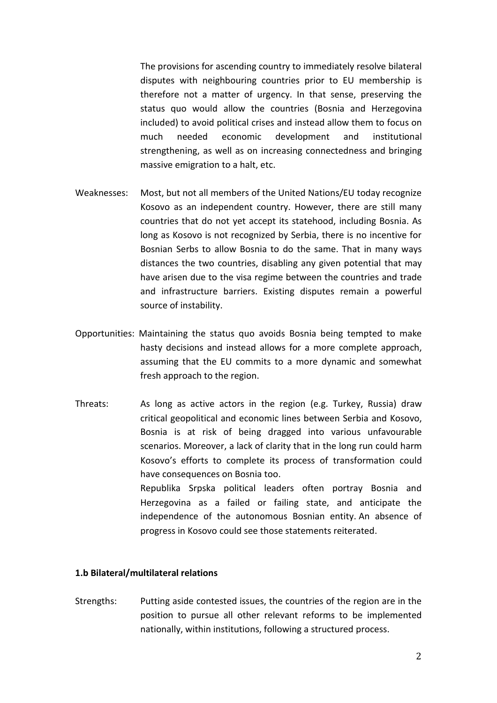The provisions for ascending country to immediately resolve bilateral disputes with neighbouring countries prior to EU membership is therefore not a matter of urgency. In that sense, preserving the status quo would allow the countries (Bosnia and Herzegovina included) to avoid political crises and instead allow them to focus on much needed economic development and institutional strengthening, as well as on increasing connectedness and bringing massive emigration to a halt, etc.

- Weaknesses: Most, but not all members of the United Nations/EU today recognize Kosovo as an independent country. However, there are still many countries that do not yet accept its statehood, including Bosnia. As long as Kosovo is not recognized by Serbia, there is no incentive for Bosnian Serbs to allow Bosnia to do the same. That in many ways distances the two countries, disabling any given potential that may have arisen due to the visa regime between the countries and trade and infrastructure barriers. Existing disputes remain a powerful source of instability.
- Opportunities: Maintaining the status quo avoids Bosnia being tempted to make hasty decisions and instead allows for a more complete approach, assuming that the EU commits to a more dynamic and somewhat fresh approach to the region.
- Threats: As long as active actors in the region (e.g. Turkey, Russia) draw critical geopolitical and economic lines between Serbia and Kosovo, Bosnia is at risk of being dragged into various unfavourable scenarios. Moreover, a lack of clarity that in the long run could harm Kosovo's efforts to complete its process of transformation could have consequences on Bosnia too. Republika Srpska political leaders often portray Bosnia and Herzegovina as a failed or failing state, and anticipate the independence of the autonomous Bosnian entity. An absence of progress in Kosovo could see those statements reiterated.

#### **1.b Bilateral/multilateral relations**

Strengths: Putting aside contested issues, the countries of the region are in the position to pursue all other relevant reforms to be implemented nationally, within institutions, following a structured process.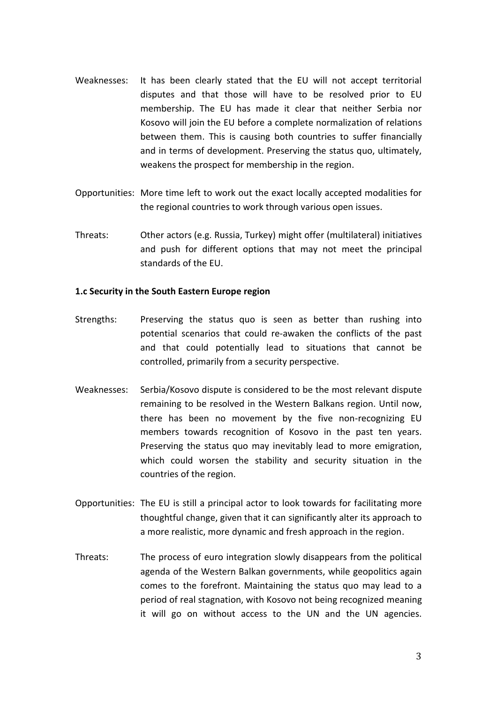- Weaknesses: It has been clearly stated that the EU will not accept territorial disputes and that those will have to be resolved prior to EU membership. The EU has made it clear that neither Serbia nor Kosovo will join the EU before a complete normalization of relations between them. This is causing both countries to suffer financially and in terms of development. Preserving the status quo, ultimately, weakens the prospect for membership in the region.
- Opportunities: More time left to work out the exact locally accepted modalities for the regional countries to work through various open issues.
- Threats: Other actors (e.g. Russia, Turkey) might offer (multilateral) initiatives and push for different options that may not meet the principal standards of the EU.

### **1.c Security in the South Eastern Europe region**

- Strengths: Preserving the status quo is seen as better than rushing into potential scenarios that could re-awaken the conflicts of the past and that could potentially lead to situations that cannot be controlled, primarily from a security perspective.
- Weaknesses: Serbia/Kosovo dispute is considered to be the most relevant dispute remaining to be resolved in the Western Balkans region. Until now, there has been no movement by the five non-recognizing EU members towards recognition of Kosovo in the past ten years. Preserving the status quo may inevitably lead to more emigration, which could worsen the stability and security situation in the countries of the region.
- Opportunities: The EU is still a principal actor to look towards for facilitating more thoughtful change, given that it can significantly alter its approach to a more realistic, more dynamic and fresh approach in the region.
- Threats: The process of euro integration slowly disappears from the political agenda of the Western Balkan governments, while geopolitics again comes to the forefront. Maintaining the status quo may lead to a period of real stagnation, with Kosovo not being recognized meaning it will go on without access to the UN and the UN agencies.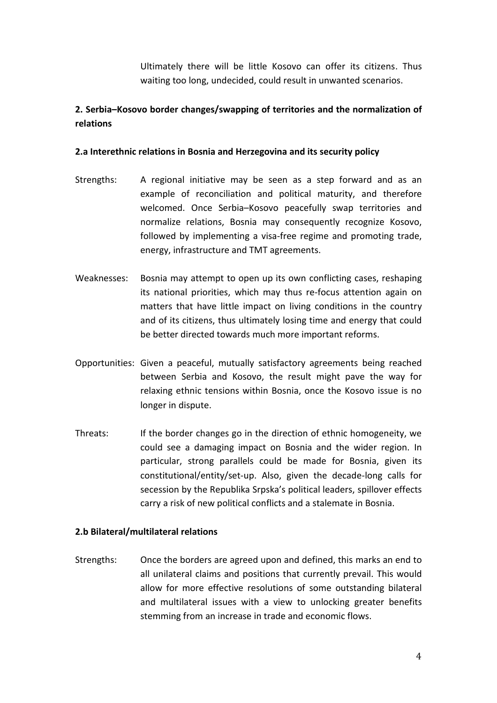Ultimately there will be little Kosovo can offer its citizens. Thus waiting too long, undecided, could result in unwanted scenarios.

## **2. Serbia–Kosovo border changes/swapping of territories and the normalization of relations**

### **2.a Interethnic relations in Bosnia and Herzegovina and its security policy**

- Strengths: A regional initiative may be seen as a step forward and as an example of reconciliation and political maturity, and therefore welcomed. Once Serbia–Kosovo peacefully swap territories and normalize relations, Bosnia may consequently recognize Kosovo, followed by implementing a visa-free regime and promoting trade, energy, infrastructure and TMT agreements.
- Weaknesses: Bosnia may attempt to open up its own conflicting cases, reshaping its national priorities, which may thus re-focus attention again on matters that have little impact on living conditions in the country and of its citizens, thus ultimately losing time and energy that could be better directed towards much more important reforms.
- Opportunities: Given a peaceful, mutually satisfactory agreements being reached between Serbia and Kosovo, the result might pave the way for relaxing ethnic tensions within Bosnia, once the Kosovo issue is no longer in dispute.
- Threats: If the border changes go in the direction of ethnic homogeneity, we could see a damaging impact on Bosnia and the wider region. In particular, strong parallels could be made for Bosnia, given its constitutional/entity/set-up. Also, given the decade-long calls for secession by the Republika Srpska's political leaders, spillover effects carry a risk of new political conflicts and a stalemate in Bosnia.

#### **2.b Bilateral/multilateral relations**

Strengths: Once the borders are agreed upon and defined, this marks an end to all unilateral claims and positions that currently prevail. This would allow for more effective resolutions of some outstanding bilateral and multilateral issues with a view to unlocking greater benefits stemming from an increase in trade and economic flows.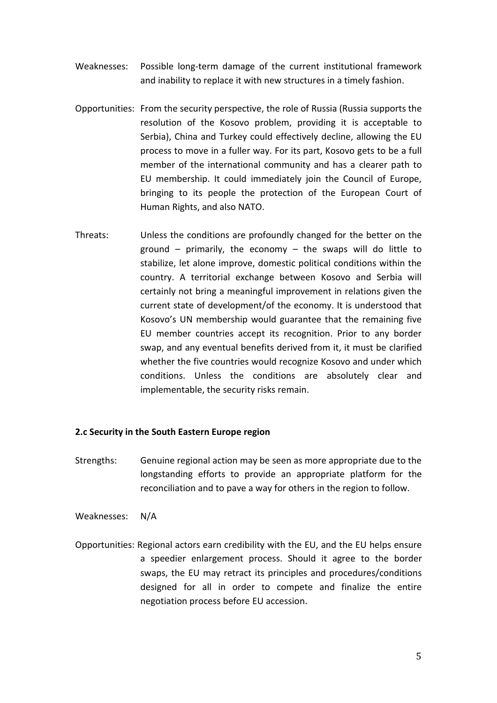- Weaknesses: Possible long-term damage of the current institutional framework and inability to replace it with new structures in a timely fashion.
- Opportunities: From the security perspective, the role of Russia (Russia supports the resolution of the Kosovo problem, providing it is acceptable to Serbia), China and Turkey could effectively decline, allowing the EU process to move in a fuller way. For its part, Kosovo gets to be a full member of the international community and has a clearer path to EU membership. It could immediately join the Council of Europe, bringing to its people the protection of the European Court of Human Rights, and also NATO.
- Threats: Unless the conditions are profoundly changed for the better on the ground – primarily, the economy – the swaps will do little to stabilize, let alone improve, domestic political conditions within the country. A territorial exchange between Kosovo and Serbia will certainly not bring a meaningful improvement in relations given the current state of development/of the economy. It is understood that Kosovo's UN membership would guarantee that the remaining five EU member countries accept its recognition. Prior to any border swap, and any eventual benefits derived from it, it must be clarified whether the five countries would recognize Kosovo and under which conditions. Unless the conditions are absolutely clear and implementable, the security risks remain.

#### **2.c Security in the South Eastern Europe region**

- Strengths: Genuine regional action may be seen as more appropriate due to the longstanding efforts to provide an appropriate platform for the reconciliation and to pave a way for others in the region to follow.
- Weaknesses: N/A
- Opportunities: Regional actors earn credibility with the EU, and the EU helps ensure a speedier enlargement process. Should it agree to the border swaps, the EU may retract its principles and procedures/conditions designed for all in order to compete and finalize the entire negotiation process before EU accession.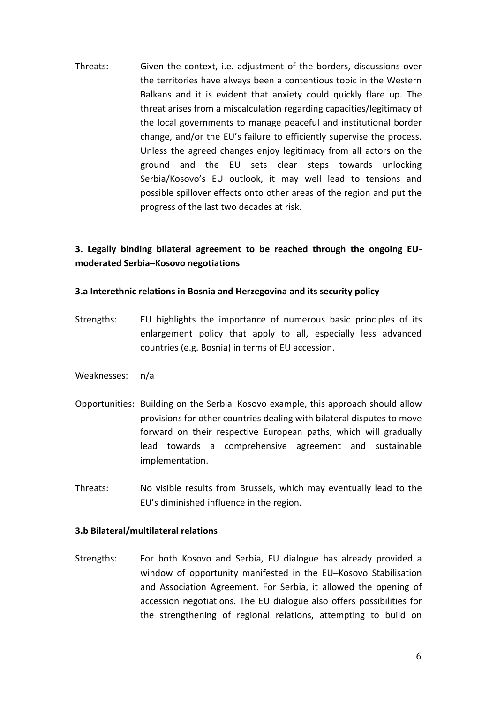Threats: Given the context, i.e. adjustment of the borders, discussions over the territories have always been a contentious topic in the Western Balkans and it is evident that anxiety could quickly flare up. The threat arises from a miscalculation regarding capacities/legitimacy of the local governments to manage peaceful and institutional border change, and/or the EU's failure to efficiently supervise the process. Unless the agreed changes enjoy legitimacy from all actors on the ground and the EU sets clear steps towards unlocking Serbia/Kosovo's EU outlook, it may well lead to tensions and possible spillover effects onto other areas of the region and put the progress of the last two decades at risk.

### **3. Legally binding bilateral agreement to be reached through the ongoing EUmoderated Serbia–Kosovo negotiations**

### **3.a Interethnic relations in Bosnia and Herzegovina and its security policy**

- Strengths: EU highlights the importance of numerous basic principles of its enlargement policy that apply to all, especially less advanced countries (e.g. Bosnia) in terms of EU accession.
- Weaknesses: n/a
- Opportunities: Building on the Serbia–Kosovo example, this approach should allow provisions for other countries dealing with bilateral disputes to move forward on their respective European paths, which will gradually lead towards a comprehensive agreement and sustainable implementation.
- Threats: No visible results from Brussels, which may eventually lead to the EU's diminished influence in the region.

#### **3.b Bilateral/multilateral relations**

Strengths: For both Kosovo and Serbia, EU dialogue has already provided a window of opportunity manifested in the EU–Kosovo Stabilisation and Association Agreement. For Serbia, it allowed the opening of accession negotiations. The EU dialogue also offers possibilities for the strengthening of regional relations, attempting to build on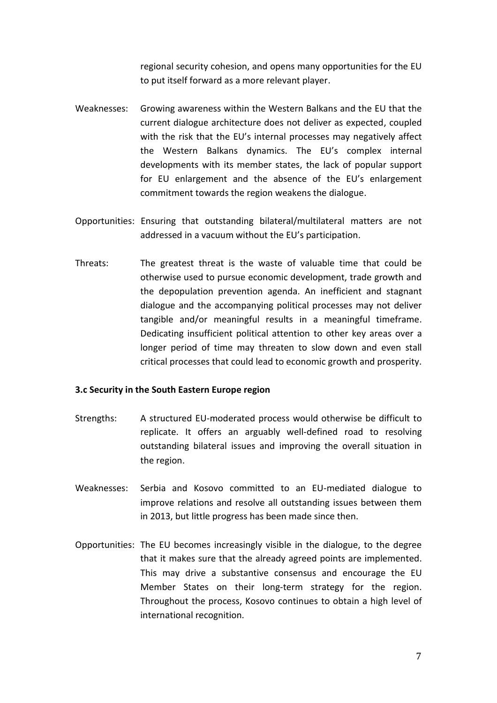regional security cohesion, and opens many opportunities for the EU to put itself forward as a more relevant player.

- Weaknesses: Growing awareness within the Western Balkans and the EU that the current dialogue architecture does not deliver as expected, coupled with the risk that the EU's internal processes may negatively affect the Western Balkans dynamics. The EU's complex internal developments with its member states, the lack of popular support for EU enlargement and the absence of the EU's enlargement commitment towards the region weakens the dialogue.
- Opportunities: Ensuring that outstanding bilateral/multilateral matters are not addressed in a vacuum without the EU's participation.
- Threats: The greatest threat is the waste of valuable time that could be otherwise used to pursue economic development, trade growth and the depopulation prevention agenda. An inefficient and stagnant dialogue and the accompanying political processes may not deliver tangible and/or meaningful results in a meaningful timeframe. Dedicating insufficient political attention to other key areas over a longer period of time may threaten to slow down and even stall critical processes that could lead to economic growth and prosperity.

#### **3.c Security in the South Eastern Europe region**

- Strengths: A structured EU-moderated process would otherwise be difficult to replicate. It offers an arguably well-defined road to resolving outstanding bilateral issues and improving the overall situation in the region.
- Weaknesses: Serbia and Kosovo committed to an EU-mediated dialogue to improve relations and resolve all outstanding issues between them in 2013, but little progress has been made since then.
- Opportunities: The EU becomes increasingly visible in the dialogue, to the degree that it makes sure that the already agreed points are implemented. This may drive a substantive consensus and encourage the EU Member States on their long-term strategy for the region. Throughout the process, Kosovo continues to obtain a high level of international recognition.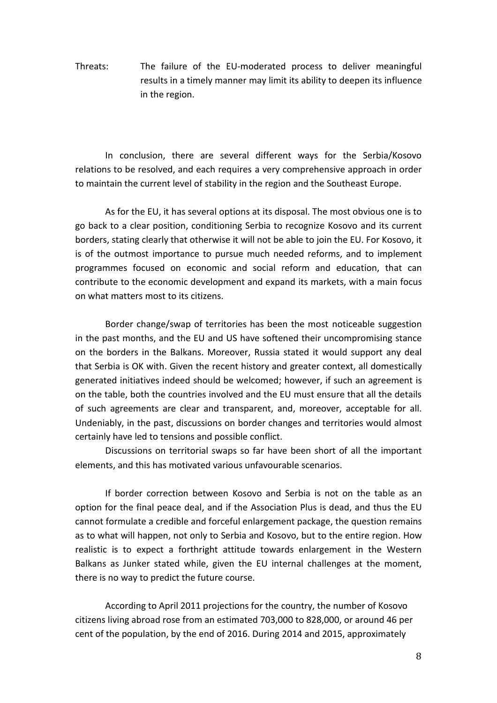Threats: The failure of the EU-moderated process to deliver meaningful results in a timely manner may limit its ability to deepen its influence in the region.

In conclusion, there are several different ways for the Serbia/Kosovo relations to be resolved, and each requires a very comprehensive approach in order to maintain the current level of stability in the region and the Southeast Europe.

As for the EU, it has several options at its disposal. The most obvious one is to go back to a clear position, conditioning Serbia to recognize Kosovo and its current borders, stating clearly that otherwise it will not be able to join the EU. For Kosovo, it is of the outmost importance to pursue much needed reforms, and to implement programmes focused on economic and social reform and education, that can contribute to the economic development and expand its markets, with a main focus on what matters most to its citizens.

Border change/swap of territories has been the most noticeable suggestion in the past months, and the EU and US have softened their uncompromising stance on the borders in the Balkans. Moreover, Russia stated it would support any deal that Serbia is OK with. Given the recent history and greater context, all domestically generated initiatives indeed should be welcomed; however, if such an agreement is on the table, both the countries involved and the EU must ensure that all the details of such agreements are clear and transparent, and, moreover, acceptable for all. Undeniably, in the past, discussions on border changes and territories would almost certainly have led to tensions and possible conflict.

Discussions on territorial swaps so far have been short of all the important elements, and this has motivated various unfavourable scenarios.

If border correction between Kosovo and Serbia is not on the table as an option for the final peace deal, and if the Association Plus is dead, and thus the EU cannot formulate a credible and forceful enlargement package, the question remains as to what will happen, not only to Serbia and Kosovo, but to the entire region. How realistic is to expect a forthright attitude towards enlargement in the Western Balkans as Junker stated while, given the EU internal challenges at the moment, there is no way to predict the future course.

According to April 2011 projections for the country, the number of Kosovo citizens living abroad rose from an estimated 703,000 to 828,000, or around 46 per cent of the population, by the end of 2016. During 2014 and 2015, approximately